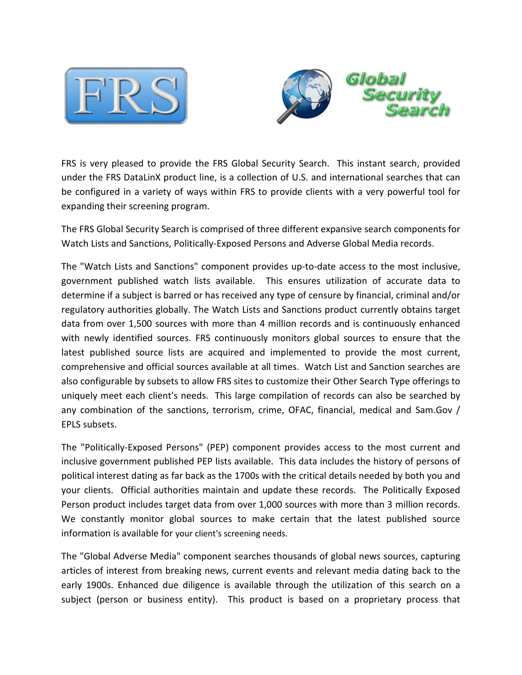



FRS is very pleased to provide the FRS Global Security Search. This instant search, provided under the FRS DataLinX product line, is a collection of U.S. and international searches that can be configured in a variety of ways within FRS to provide clients with a very powerful tool for expanding their screening program.

The FRS Global Security Search is comprised of three different expansive search components for Watch Lists and Sanctions, Politically-Exposed Persons and Adverse Global Media records.

The "Watch Lists and Sanctions" component provides up-to-date access to the most inclusive, government published watch lists available. This ensures utilization of accurate data to determine if a subject is barred or has received any type of censure by financial, criminal and/or regulatory authorities globally. The Watch Lists and Sanctions product currently obtains target data from over 1,500 sources with more than 4 million records and is continuously enhanced with newly identified sources. FRS continuously monitors global sources to ensure that the latest published source lists are acquired and implemented to provide the most current, comprehensive and official sources available at all times. Watch List and Sanction searches are also configurable by subsets to allow FRS sites to customize their Other Search Type offerings to uniquely meet each client's needs. This large compilation of records can also be searched by any combination of the sanctions, terrorism, crime, OFAC, financial, medical and Sam.Gov / EPLS subsets.

The "Politically-Exposed Persons" (PEP) component provides access to the most current and inclusive government published PEP lists available. This data includes the history of persons of political interest dating as far back as the 1700s with the critical details needed by both you and your clients. Official authorities maintain and update these records. The Politically Exposed Person product includes target data from over 1,000 sources with more than 3 million records. We constantly monitor global sources to make certain that the latest published source information is available for your client's screening needs.

The "Global Adverse Media" component searches thousands of global news sources, capturing articles of interest from breaking news, current events and relevant media dating back to the early 1900s. Enhanced due diligence is available through the utilization of this search on a subject (person or business entity). This product is based on a proprietary process that